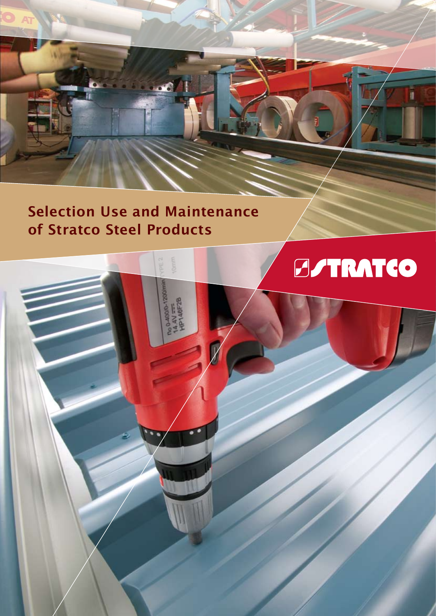## **Selection Use and Maintenance of Stratco Steel Products**

004000-12001<br>14.4V ==<br>HP146F2B

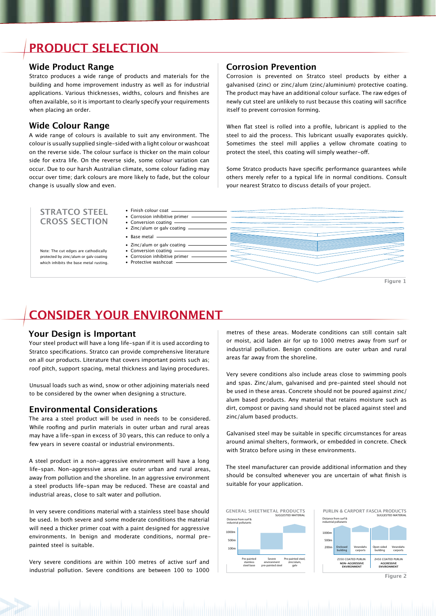## **PRODUCT SELECTION**

#### **Wide Product Range**

Stratco produces a wide range of products and materials for the building and home improvement industry as well as for industrial applications. Various thicknesses, widths, colours and finishes are often available, so it is important to clearly specify your requirements when placing an order.

#### **Wide Colour Range**

A wide range of colours is available to suit any environment. The colour is usually supplied single-sided with a light colour or washcoat on the reverse side. The colour surface is thicker on the main colour side for extra life. On the reverse side, some colour variation can occur. Due to our harsh Australian climate, some colour fading may occur over time; dark colours are more likely to fade, but the colour change is usually slow and even.

#### **Corrosion Prevention**

Corrosion is prevented on Stratco steel products by either a galvanised (zinc) or zinc/alum (zinc/aluminium) protective coating. The product may have an additional colour surface. The raw edges of newly cut steel are unlikely to rust because this coating will sacrifice itself to prevent corrosion forming.

When flat steel is rolled into a profile, lubricant is applied to the steel to aid the process. This lubricant usually evaporates quickly. Sometimes the steel mill applies a yellow chromate coating to protect the steel, this coating will simply weather-off.

Some Stratco products have specific performance guarantees while others merely refer to a typical life in normal conditions. Consult your nearest Stratco to discuss details of your project.

#### **STRATCO STEEL** • Finish colour coat —— **CROSS SECTION**

Note: The cut edges are cathodically protected by zinc/alum or galv coating which inhibits the base metal rusting

- 
- Conversion coating

• Zinc/alum or galv coating

• Base metal

- Zinc/alum or galv coating
- Conversion coating • Corrosion inhibitive primer
- Protective washcoat



## **CONSIDER YOUR ENVIRONMENT**

#### **Your Design is Important**

Your steel product will have a long life-span if it is used according to Stratco specifications. Stratco can provide comprehensive literature on all our products. Literature that covers important points such as; roof pitch, support spacing, metal thickness and laying procedures.

Unusual loads such as wind, snow or other adjoining materials need to be considered by the owner when designing a structure.

#### **Environmental Considerations**

The area a steel product will be used in needs to be considered. While roofing and purlin materials in outer urban and rural areas may have a life-span in excess of 30 years, this can reduce to only a few years in severe coastal or industrial environments.

A steel product in a non-aggressive environment will have a long life-span. Non-aggressive areas are outer urban and rural areas, away from pollution and the shoreline. In an aggressive environment a steel products life-span may be reduced. These are coastal and industrial areas, close to salt water and pollution.

In very severe conditions material with a stainless steel base should be used. In both severe and some moderate conditions the material will need a thicker primer coat with a paint designed for aggressive environments. In benign and moderate conditions, normal prepainted steel is suitable.

Very severe conditions are within 100 metres of active surf and industrial pollution. Severe conditions are between 100 to 1000

metres of these areas. Moderate conditions can still contain salt or moist, acid laden air for up to 1000 metres away from surf or industrial pollution. Benign conditions are outer urban and rural areas far away from the shoreline.

Very severe conditions also include areas close to swimming pools and spas. Zinc/alum, galvanised and pre-painted steel should not be used in these areas. Concrete should not be poured against zinc/ alum based products. Any material that retains moisture such as dirt, compost or paving sand should not be placed against steel and zinc/alum based products.

Galvanised steel may be suitable in specific circumstances for areas around animal shelters, formwork, or embedded in concrete. Check with Stratco before using in these environments.

The steel manufacturer can provide additional information and they should be consulted whenever you are uncertain of what finish is suitable for your application.





**Figure 2**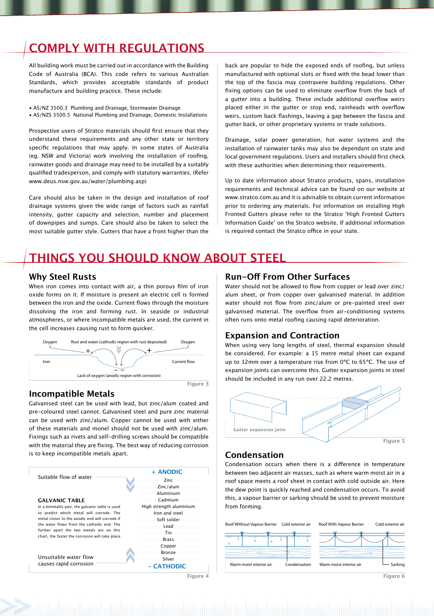## **COMPLY WITH REGULATIONS**

All building work must be carried out in accordance with the Building Code of Australia (BCA). This code refers to various Australian Standards, which provides acceptable standards of product manufacture and building practice. These include:

- AS/NZ 3500.3 Plumbing and Drainage, Stormwater Drainage
- AS/NZS 3500.5 National Plumbing and Drainage, Domestic Installations

Prospective users of Stratco materials should first ensure that they understand these requirements and any other state or territory specific regulations that may apply. In some states of Australia (eg. NSW and Victoria) work involving the installation of roofing, rainwater goods and drainage may need to be installed by a suitably qualified tradesperson, and comply with statutory warranties. (Refer www.deus.nsw.gov.au/water/plumbing.asp)

Care should also be taken in the design and installation of roof drainage systems given the wide range of factors such as rainfall intensity, gutter capacity and selection, number and placement of downpipes and sumps. Care should also be taken to select the most suitable gutter style. Gutters that have a front higher than the

back are popular to hide the exposed ends of roofing, but unless manufactured with optional slots or fixed with the bead lower than the top of the fascia may contravene building regulations. Other fixing options can be used to eliminate overflow from the back of a gutter into a building. These include additional overflow weirs placed either in the gutter or stop end, rainheads with overflow weirs, custom back flashings, leaving a gap between the fascia and gutter back, or other proprietary systems or trade solutions.

Drainage, solar power generation, hot water systems and the installation of rainwater tanks may also be dependant on state and local government regulations. Users and installers should first check with these authorities when determining their requirements.

Up to date information about Stratco products, spans, installation requirements and technical advice can be found on our website at www.stratco.com.au and it is advisable to obtain current information prior to ordering any materials. For information on installing High Fronted Gutters please refer to the Stratco 'High Fronted Gutters Information Guide' on the Stratco website. If additional information is required contact the Stratco office in your state.

## **THINGS YOU SHOULD KNOW ABOUT STEEL**

#### **Why Steel Rusts**

When iron comes into contact with air, a thin porous film of iron oxide forms on it. If moisture is present an electric cell is formed between the iron and the oxide. Current flows through the moisture dissolving the iron and forming rust. In seaside or industrial atmospheres, or where incompatible metals are used, the current in the cell increases causing rust to form quicker.



#### **Incompatible Metals**

Galvanised steel can be used with lead, but zinc/alum coated and pre-coloured steel cannot. Galvanised steel and pure zinc material can be used with zinc/alum. Copper cannot be used with either of these materials and monel should not be used with zinc/alum. Fixings such as rivets and self-drilling screws should be compatible with the material they are fixing. The best way of reducing corrosion is to keep incompatible metals apart.

| Suitable flow of water                                                                                                                         | + ANODIC                  |
|------------------------------------------------------------------------------------------------------------------------------------------------|---------------------------|
|                                                                                                                                                | Zinc                      |
|                                                                                                                                                | Zinc/alum                 |
|                                                                                                                                                | Aluminium                 |
| <b>GALVANIC TABLE</b>                                                                                                                          | Cadmium<br>.              |
| In a bimetallic pair, the galvanic table is used<br>to predict which metal will corrode. The<br>metal closer to the anodic end will corrode if | - High strength aluminium |
|                                                                                                                                                | Iron and steel<br>.       |
|                                                                                                                                                |                           |
| the water flows from the cathodic end. The                                                                                                     |                           |
| further apart the two metals are on this<br>chart, the faster the corrosion will take place.                                                   | Tin …                     |
|                                                                                                                                                | <b>Brass</b>              |
| Unsuitable water flow<br>causes rapid corrosion                                                                                                | Copper                    |
|                                                                                                                                                | Bronze                    |
|                                                                                                                                                | Silver                    |
|                                                                                                                                                | $-CATHODIC$               |
|                                                                                                                                                | Figure                    |

#### **Run-Off From Other Surfaces**

Water should not be allowed to flow from copper or lead over zinc/ alum sheet, or from copper over galvanised material. In addition water should not flow from zinc/alum or pre-painted steel over galvanised material. The overflow from air-conditioning systems often runs onto metal roofing causing rapid deterioration.

#### **Expansion and Contraction**

When using very long lengths of steel, thermal expansion should be considered. For example: a 15 metre metal sheet can expand up to 12mm over a temperature rise from 0ºC to 65ºC. The use of expansion joints can overcome this. Gutter expansion joints in steel should be included in any run over 22.2 metres.



#### **Condensation**

Condensation occurs when there is a difference in temperature between two adjacent air masses, such as where warm moist air in a roof space meets a roof sheet in contact with cold outside air. Here the dew point is quickly reached and condensation occurs. To avoid this, a vapour barrier or sarking should be used to prevent moisture from forming.



**Figure 6**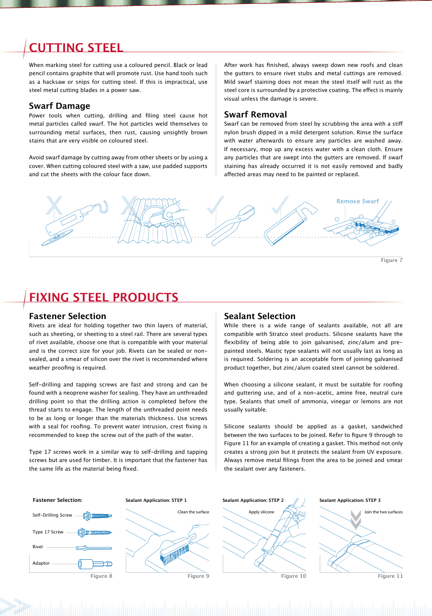## **CUTTING STEEL**

When marking steel for cutting use a coloured pencil. Black or lead pencil contains graphite that will promote rust. Use hand tools such as a hacksaw or snips for cutting steel. If this is impractical, use steel metal cutting blades in a power saw.

#### **Swarf Damage**

Power tools when cutting, drilling and filing steel cause hot metal particles called swarf. The hot particles weld themselves to surrounding metal surfaces, then rust, causing unsightly brown stains that are very visible on coloured steel.

Avoid swarf damage by cutting away from other sheets or by using a cover. When cutting coloured steel with a saw, use padded supports and cut the sheets with the colour face down.

After work has finished, always sweep down new roofs and clean the gutters to ensure rivet stubs and metal cuttings are removed. Mild swarf staining does not mean the steel itself will rust as the steel core is surrounded by a protective coating. The effect is mainly visual unless the damage is severe.

#### **Swarf Removal**

Swarf can be removed from steel by scrubbing the area with a stiff nylon brush dipped in a mild detergent solution. Rinse the surface with water afterwards to ensure any particles are washed away. If necessary, mop up any excess water with a clean cloth. Ensure any particles that are swept into the gutters are removed. If swarf staining has already occurred it is not easily removed and badly affected areas may need to be painted or replaced.



**Figure 7**

## **FIXING STEEL PRODUCTS**

#### **Fastener Selection**

Rivet

**Adaptor** 

Rivets are ideal for holding together two thin layers of material, such as sheeting, or sheeting to a steel rail. There are several types of rivet available, choose one that is compatible with your material and is the correct size for your job. Rivets can be sealed or nonsealed, and a smear of silicon over the rivet is recommended where weather proofing is required.

Self-drilling and tapping screws are fast and strong and can be found with a neoprene washer for sealing. They have an unthreaded drilling point so that the drilling action is completed before the thread starts to engage. The length of the unthreaded point needs to be as long or longer than the materials thickness. Use screws with a seal for roofing. To prevent water intrusion, crest fixing is recommended to keep the screw out of the path of the water.

Type 17 screws work in a similar way to self-drilling and tapping screws but are used for timber. It is important that the fastener has the same life as the material being fixed.

#### **Sealant Selection**

While there is a wide range of sealants available, not all are compatible with Stratco steel products. Silicone sealants have the flexibility of being able to join galvanised, zinc/alum and prepainted steels. Mastic type sealants will not usually last as long as is required. Soldering is an acceptable form of joining galvanised product together, but zinc/alum coated steel cannot be soldered.

When choosing a silicone sealant, it must be suitable for roofing and guttering use, and of a non-acetic, amine free, neutral cure type. Sealants that smell of ammonia, vinegar or lemons are not usually suitable.

Silicone sealants should be applied as a gasket, sandwiched between the two surfaces to be joined. Refer to figure 9 through to Figure 11 for an example of creating a gasket. This method not only creates a strong join but it protects the sealant from UV exposure. Always remove metal filings from the area to be joined and smear the sealant over any fasteners.



**Figure 11**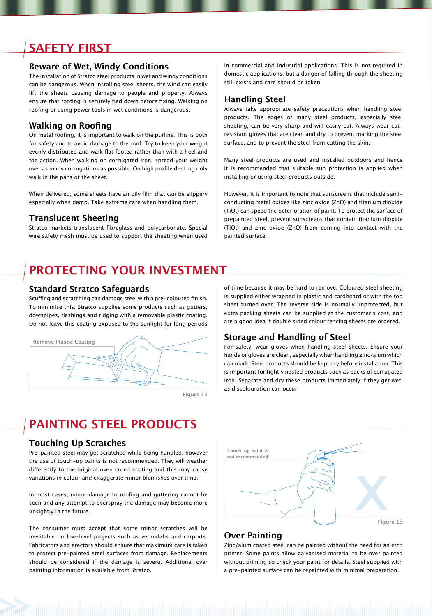## **SAFETY FIRST**

#### **Beware of Wet, Windy Conditions**

The installation of Stratco steel products in wet and windy conditions can be dangerous. When installing steel sheets, the wind can easily lift the sheets causing damage to people and property. Always ensure that roofing is securely tied down before fixing. Walking on roofing or using power tools in wet conditions is dangerous.

#### **Walking on Roofing**

On metal roofing, it is important to walk on the purlins. This is both for safety and to avoid damage to the roof. Try to keep your weight evenly distributed and walk flat footed rather than with a heel and toe action. When walking on corrugated iron, spread your weight over as many corrugations as possible. On high profile decking only walk in the pans of the sheet.

When delivered, some sheets have an oily film that can be slippery especially when damp. Take extreme care when handling them.

#### **Translucent Sheeting**

Stratco markets translucent fibreglass and polycarbonate. Special wire safety mesh must be used to support the sheeting when used in commercial and industrial applications. This is not required in domestic applications, but a danger of falling through the sheeting still exists and care should be taken.

#### **Handling Steel**

Always take appropriate safety precautions when handling steel products. The edges of many steel products, especially steel sheeting, can be very sharp and will easily cut. Always wear cutresistant gloves that are clean and dry to prevent marking the steel surface, and to prevent the steel from cutting the skin.

Many steel products are used and installed outdoors and hence it is recommended that suitable sun protection is applied when installing or using steel products outside.

However, it is important to note that sunscreens that include semiconducting metal oxides like zinc oxide (ZnO) and titanium dioxide (TiO<sub>2</sub>) can speed the deterioration of paint. To protect the surface of prepainted steel, prevent sunscreens that contain titanium dioxide (TiO<sub>2</sub>) and zinc oxide (ZnO) from coming into contact with the painted surface.

## **PROTECTING YOUR INVESTMENT**

#### **Standard Stratco Safeguards**

Scuffing and scratching can damage steel with a pre-coloured finish. To minimise this, Stratco supplies some products such as gutters, downpipes, flashings and ridging with a removable plastic coating. Do not leave this coating exposed to the sunlight for long periods



**Figure 12**

of time because it may be hard to remove. Coloured steel sheeting is supplied either wrapped in plastic and cardboard or with the top sheet turned over. The reverse side is normally unprotected, but extra packing sheets can be supplied at the customer's cost, and are a good idea if double sided colour fencing sheets are ordered.

#### **Storage and Handling of Steel**

For safety, wear gloves when handling steel sheets. Ensure your hands or gloves are clean, especially when handling zinc/alum which can mark. Steel products should be kept dry before installation. This is important for tightly nested products such as packs of corrugated iron. Separate and dry these products immediately if they get wet, as discolouration can occur.

## **PAINTING STEEL PRODUCTS**

#### **Touching Up Scratches**

Pre-painted steel may get scratched while being handled, however the use of touch-up paints is not recommended. They will weather differently to the original oven cured coating and this may cause variations in colour and exaggerate minor blemishes over time.

In most cases, minor damage to roofing and guttering cannot be seen and any attempt to overspray the damage may become more unsightly in the future.

The consumer must accept that some minor scratches will be inevitable on low-level projects such as verandahs and carports. Fabricators and erectors should ensure that maximum care is taken to protect pre-painted steel surfaces from damage. Replacements should be considered if the damage is severe. Additional over painting information is available from Stratco.



#### **Over Painting**

Zinc/alum coated steel can be painted without the need for an etch primer. Some paints allow galvanised material to be over painted without priming so check your paint for details. Steel supplied with a pre-painted surface can be repainted with minimal preparation.